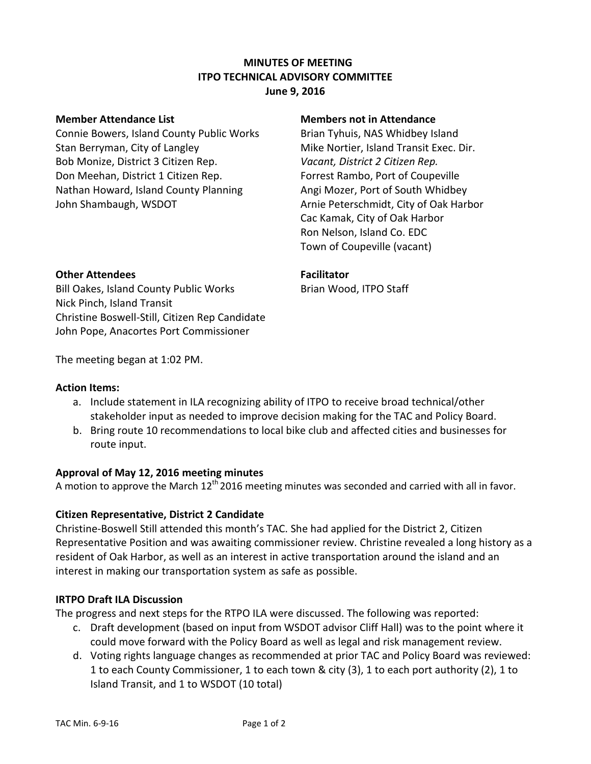## **MINUTES OF MEETING ITPO TECHNICAL ADVISORY COMMITTEE June 9, 2016**

Connie Bowers, Island County Public Works Brian Tyhuis, NAS Whidbey Island Stan Berryman, City of Langley Mike Nortier, Island Transit Exec. Dir. Bob Monize, District 3 Citizen Rep. *Vacant, District 2 Citizen Rep.* Don Meehan, District 1 Citizen Rep. Forrest Rambo, Port of Coupeville Nathan Howard, Island County Planning Angi Mozer, Port of South Whidbey John Shambaugh, WSDOT **Arnie Peterschmidt, City of Oak Harbor** 

#### **Member Attendance List Members not in Attendance**

Cac Kamak, City of Oak Harbor Ron Nelson, Island Co. EDC Town of Coupeville (vacant)

## **Other Attendees Facilitator**

Bill Oakes, Island County Public Works Brian Wood, ITPO Staff Nick Pinch, Island Transit Christine Boswell-Still, Citizen Rep Candidate John Pope, Anacortes Port Commissioner

The meeting began at 1:02 PM.

### **Action Items:**

- a. Include statement in ILA recognizing ability of ITPO to receive broad technical/other stakeholder input as needed to improve decision making for the TAC and Policy Board.
- b. Bring route 10 recommendations to local bike club and affected cities and businesses for route input.

### **Approval of May 12, 2016 meeting minutes**

A motion to approve the March 12<sup>th</sup> 2016 meeting minutes was seconded and carried with all in favor.

### **Citizen Representative, District 2 Candidate**

Christine-Boswell Still attended this month's TAC. She had applied for the District 2, Citizen Representative Position and was awaiting commissioner review. Christine revealed a long history as a resident of Oak Harbor, as well as an interest in active transportation around the island and an interest in making our transportation system as safe as possible.

### **IRTPO Draft ILA Discussion**

The progress and next steps for the RTPO ILA were discussed. The following was reported:

- c. Draft development (based on input from WSDOT advisor Cliff Hall) was to the point where it could move forward with the Policy Board as well as legal and risk management review.
- d. Voting rights language changes as recommended at prior TAC and Policy Board was reviewed: 1 to each County Commissioner, 1 to each town & city (3), 1 to each port authority (2), 1 to Island Transit, and 1 to WSDOT (10 total)